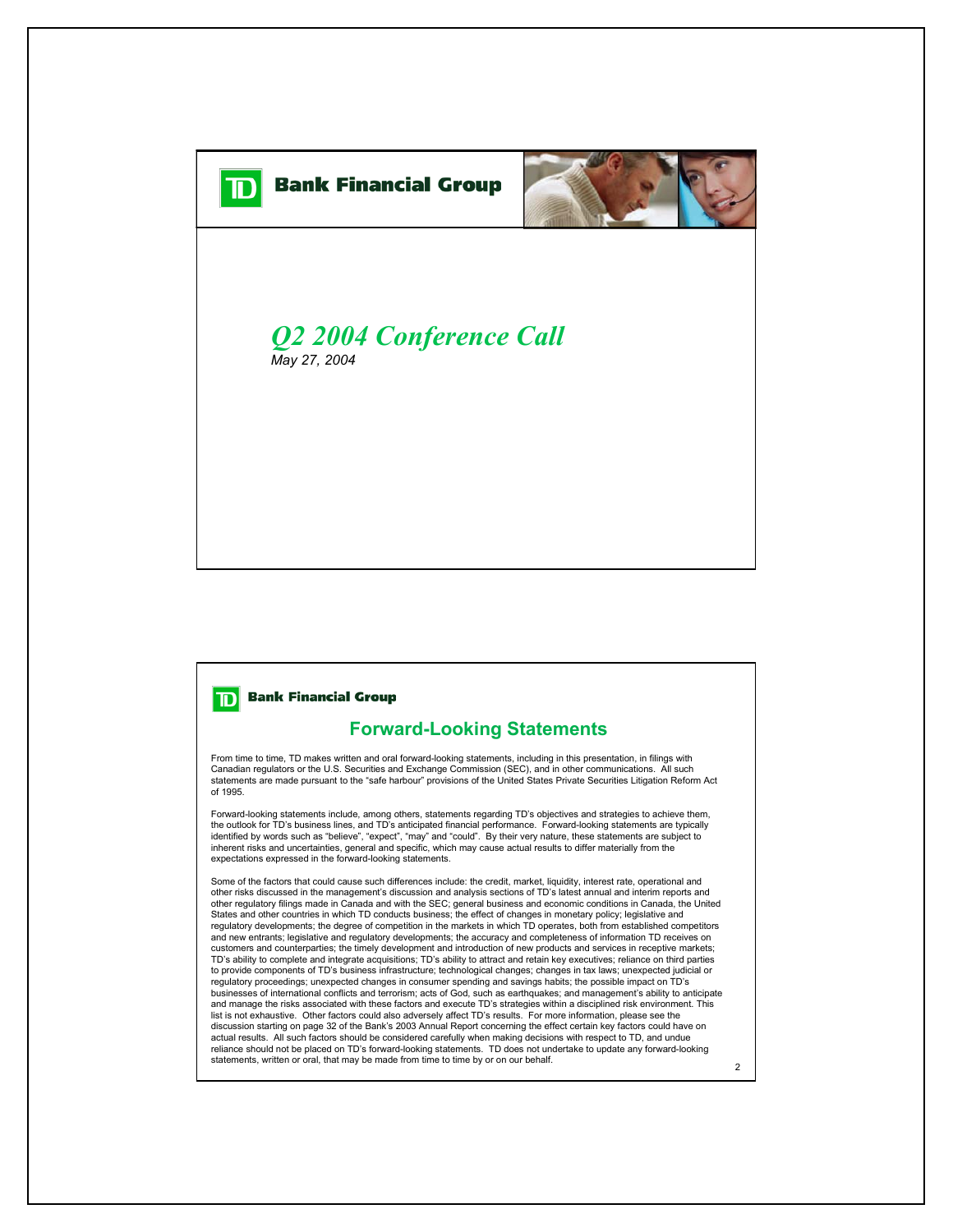



## *Q2 2004 Conference Call May 27, 2004*

## **Bank Financial Group** וסד

## **Forward-Looking Statements**

From time to time, TD makes written and oral forward-looking statements, including in this presentation, in filings with Canadian regulators or the U.S. Securities and Exchange Commission (SEC), and in other communications. All such statements are made pursuant to the "safe harbour" provisions of the United States Private Securities Litigation Reform Act of 1995.

Forward-looking statements include, among others, statements regarding TD's objectives and strategies to achieve them, the outlook for TD's business lines, and TD's anticipated financial performance. Forward-looking statements are typically identified by words such as "believe", "expect", "may" and "could". By their very nature, these statements are subject to inherent risks and uncertainties, general and specific, which may cause actual results to differ materially from the expectations expressed in the forward-looking statements.

Some of the factors that could cause such differences include: the credit, market, liquidity, interest rate, operational and other risks discussed in the management's discussion and analysis sections of TD's latest annual and interim reports and other regulatory filings made in Canada and with the SEC; general business and economic conditions in Canada, the United States and other countries in which TD conducts business; the effect of changes in monetary policy; legislative and regulatory developments; the degree of competition in the markets in which TD operates, both from established competitors and new entrants; legislative and regulatory developments; the accuracy and completeness of information TD receives on customers and counterparties; the timely development and introduction of new products and services in receptive markets; TD's ability to complete and integrate acquisitions; TD's ability to attract and retain key executives; reliance on third parties to provide components of TD's business infrastructure; technological changes; changes in tax laws; unexpected judicial or regulatory proceedings; unexpected changes in consumer spending and savings habits; the possible impact on TD's businesses of international conflicts and terrorism; acts of God, such as earthquakes; and management's ability to anticipate and manage the risks associated with these factors and execute TD's strategies within a disciplined risk environment. This list is not exhaustive. Other factors could also adversely affect TD's results. For more information, please see the discussion starting on page 32 of the Bank's 2003 Annual Report concerning the effect certain key factors could have on actual results. All such factors should be considered carefully when making decisions with respect to TD, and undue reliance should not be placed on TD's forward-looking statements. TD does not undertake to update any forward-looking statements, written or oral, that may be made from time to time by or on our behalf.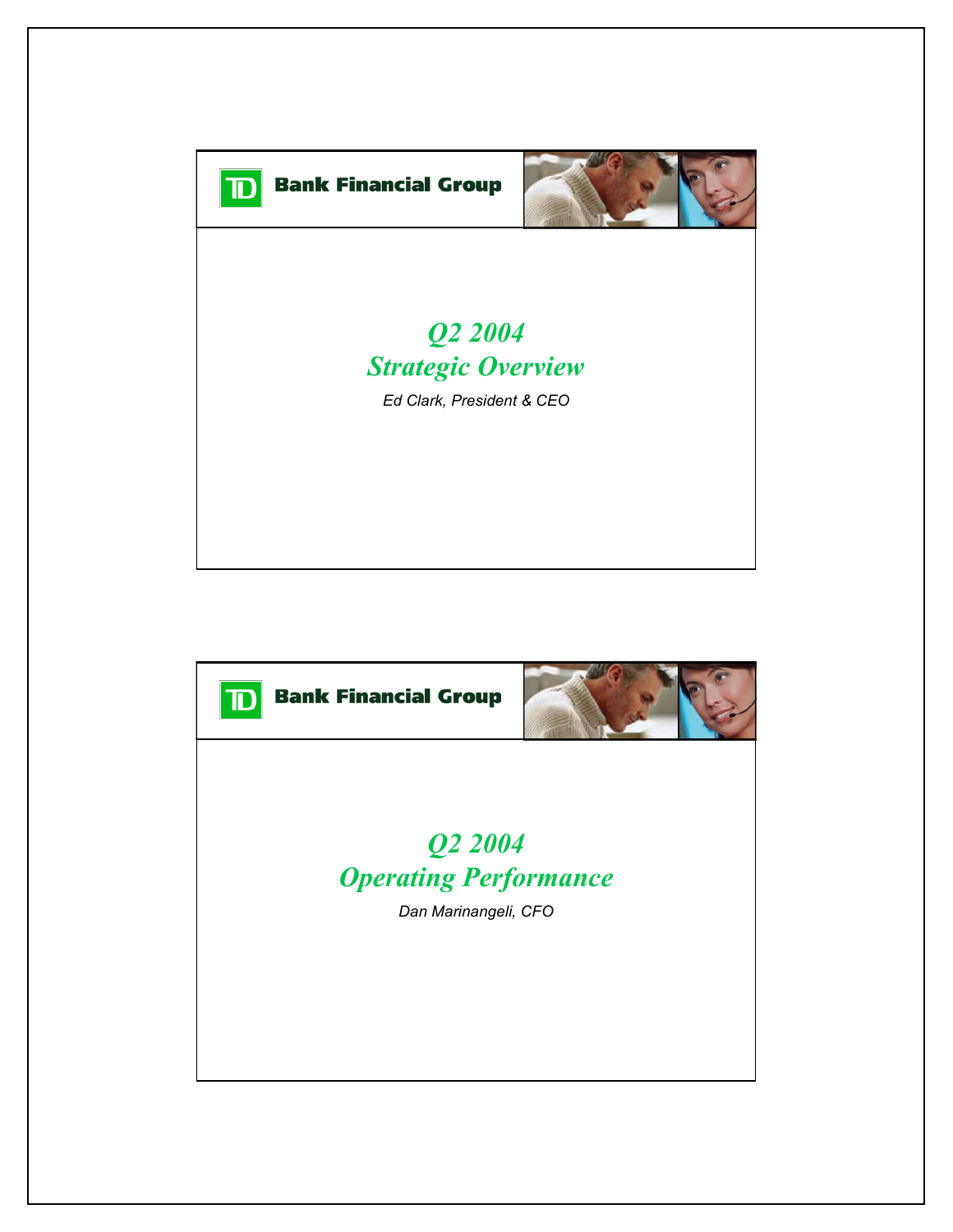

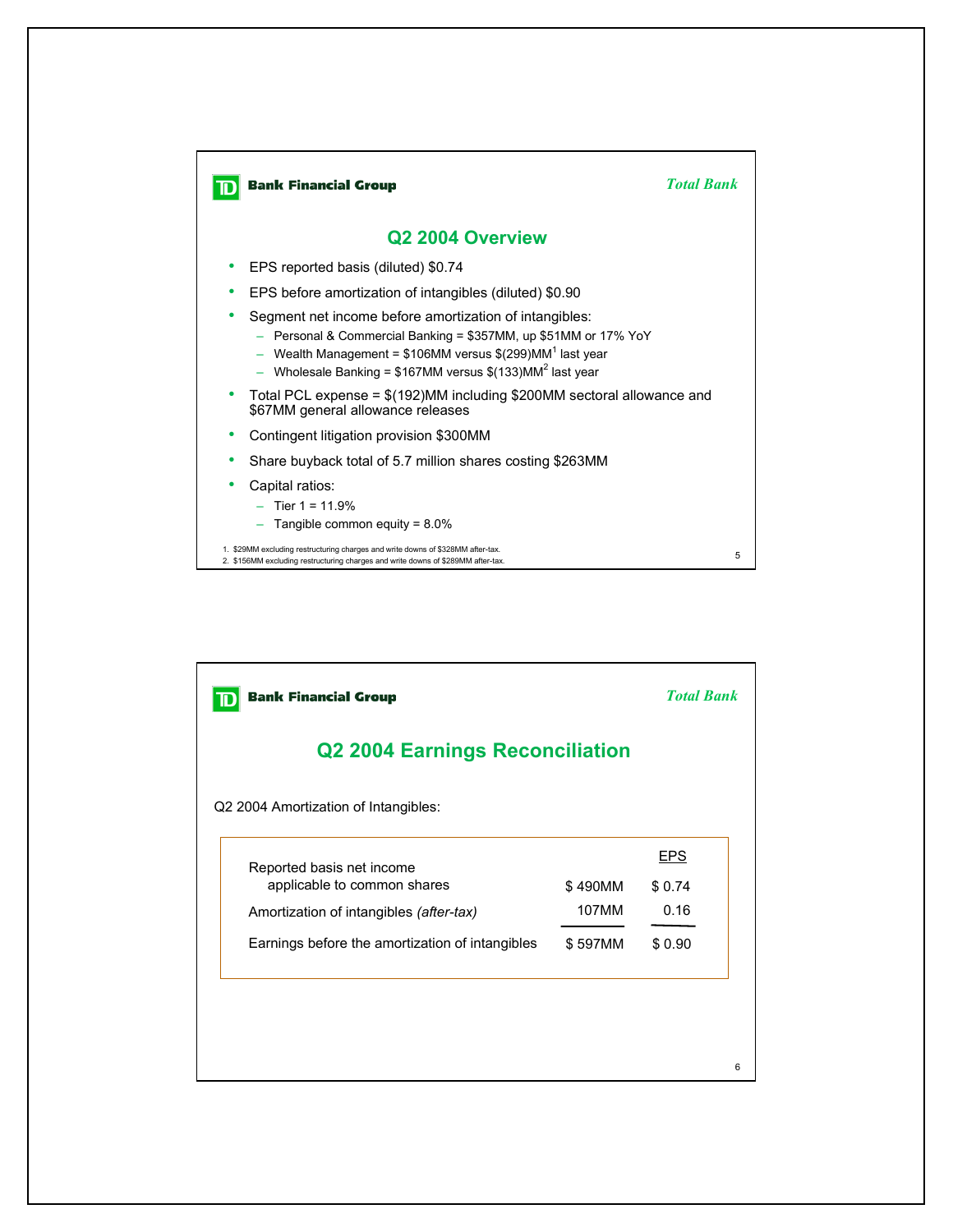

| <b>Bank Financial Group</b>                     | <b>Total Bank</b> |            |  |  |  |  |
|-------------------------------------------------|-------------------|------------|--|--|--|--|
| <b>Q2 2004 Earnings Reconciliation</b>          |                   |            |  |  |  |  |
| Q2 2004 Amortization of Intangibles:            |                   |            |  |  |  |  |
| Reported basis net income                       |                   | <b>EPS</b> |  |  |  |  |
| applicable to common shares                     | \$490MM           | \$0.74     |  |  |  |  |
| Amortization of intangibles (after-tax)         | 107MM             | 0.16       |  |  |  |  |
| Earnings before the amortization of intangibles | \$597MM           | \$0.90     |  |  |  |  |
|                                                 |                   |            |  |  |  |  |
|                                                 |                   |            |  |  |  |  |
|                                                 |                   |            |  |  |  |  |

6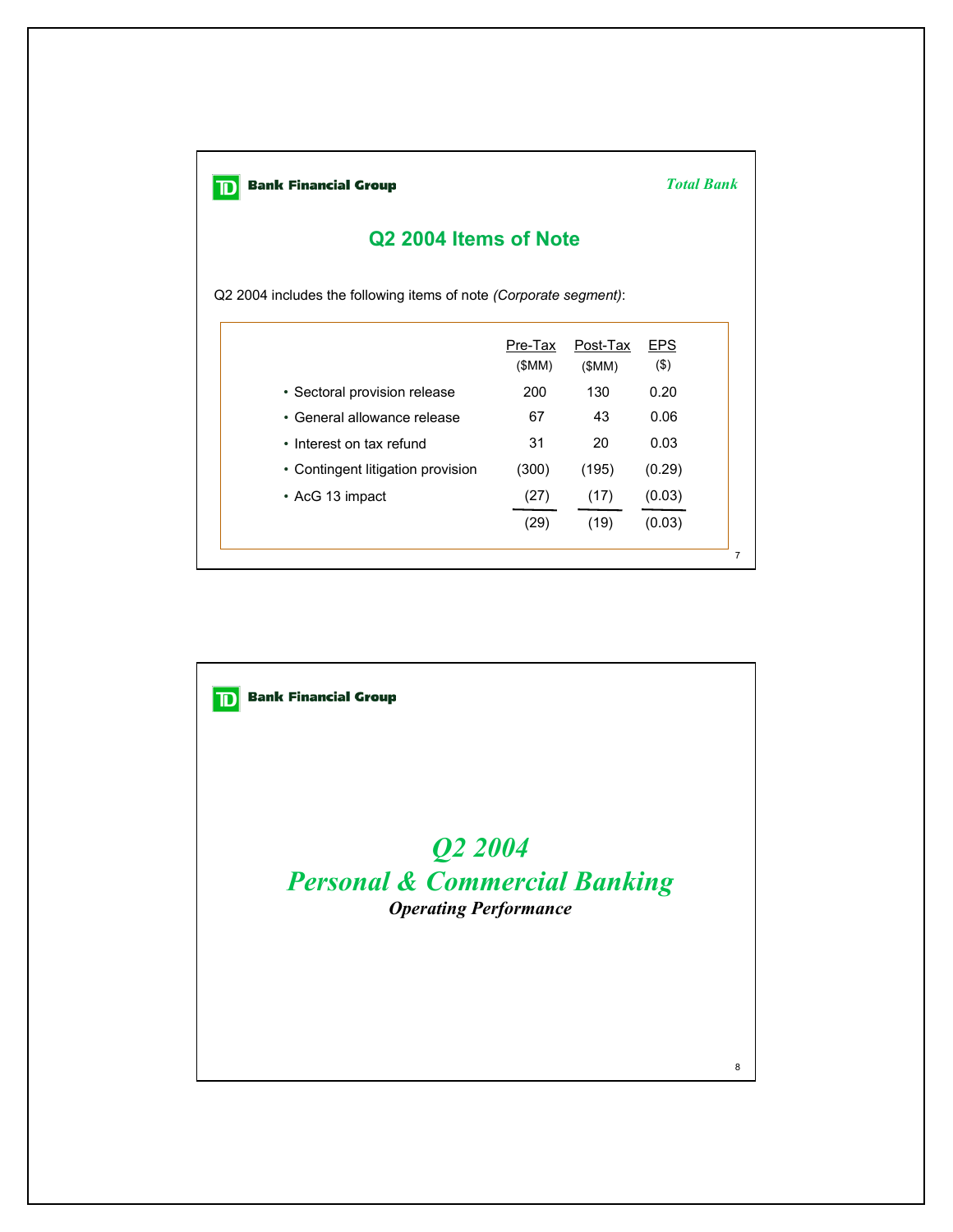

*Total Bank*

## **Q2 2004 Items of Note**

Q2 2004 includes the following items of note *(Corporate segment)*:

|                                   | Pre-Tax<br>(SMM) | Post-Tax<br>(SMM) | <b>EPS</b><br>$($ \$) |
|-----------------------------------|------------------|-------------------|-----------------------|
| • Sectoral provision release      | 200              | 130               | 0.20                  |
| • General allowance release       | 67               | 43                | 0.06                  |
| • Interest on tax refund          | 31               | 20                | 0.03                  |
| • Contingent litigation provision | (300)            | (195)             | (0.29)                |
| • AcG 13 impact                   | (27)             | (17)              | (0.03)                |
|                                   | (29)             | (19)              | (0.03)                |

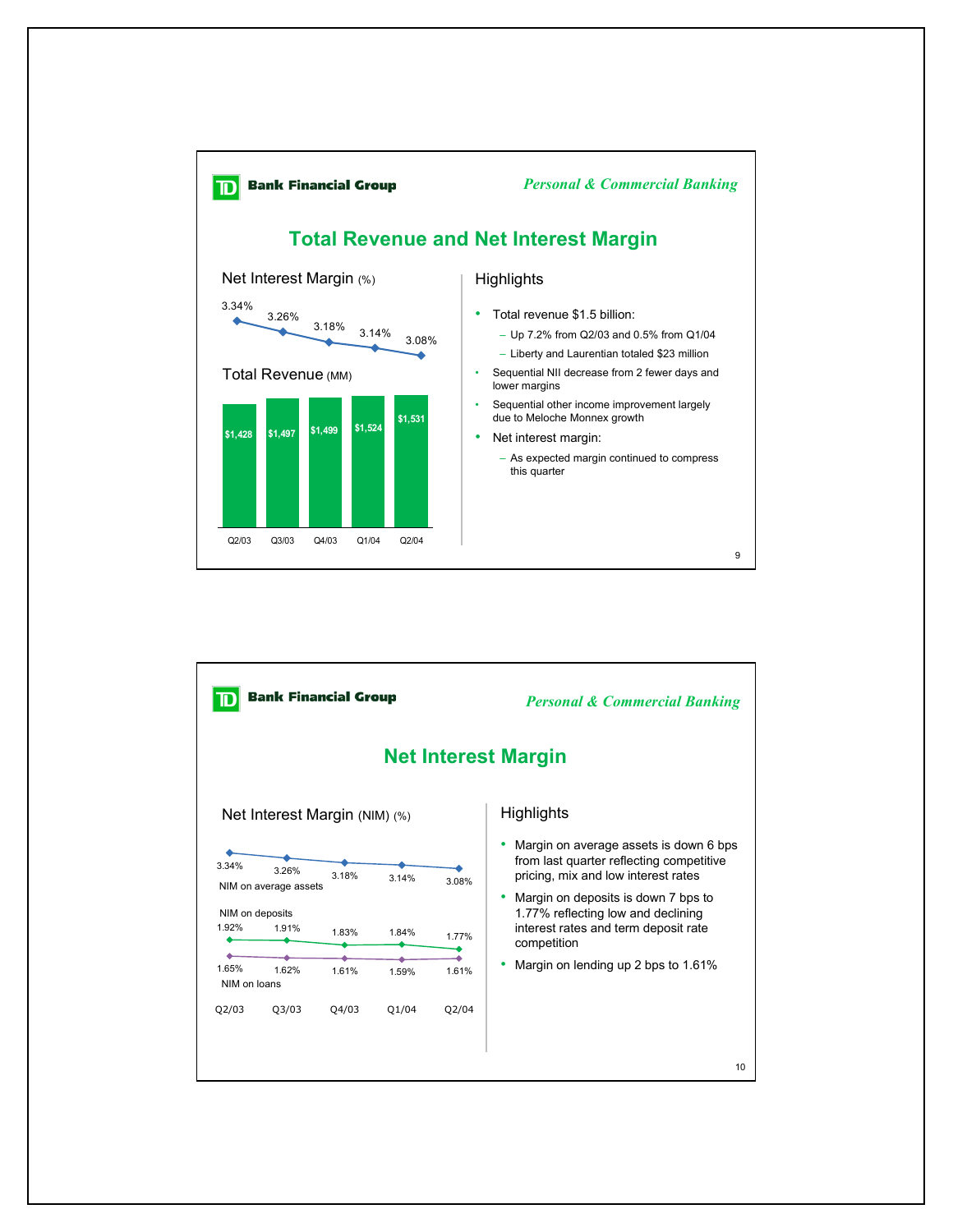

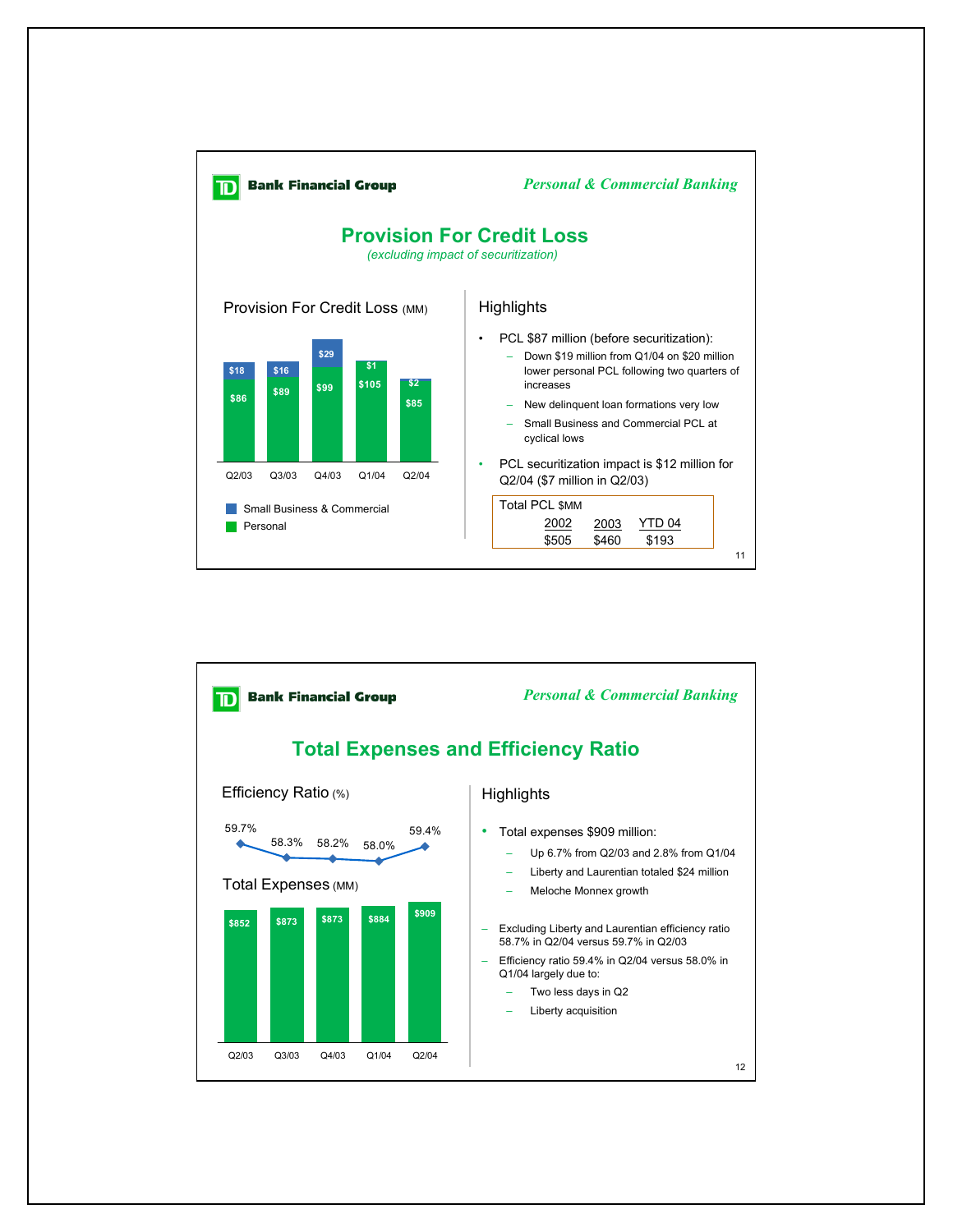

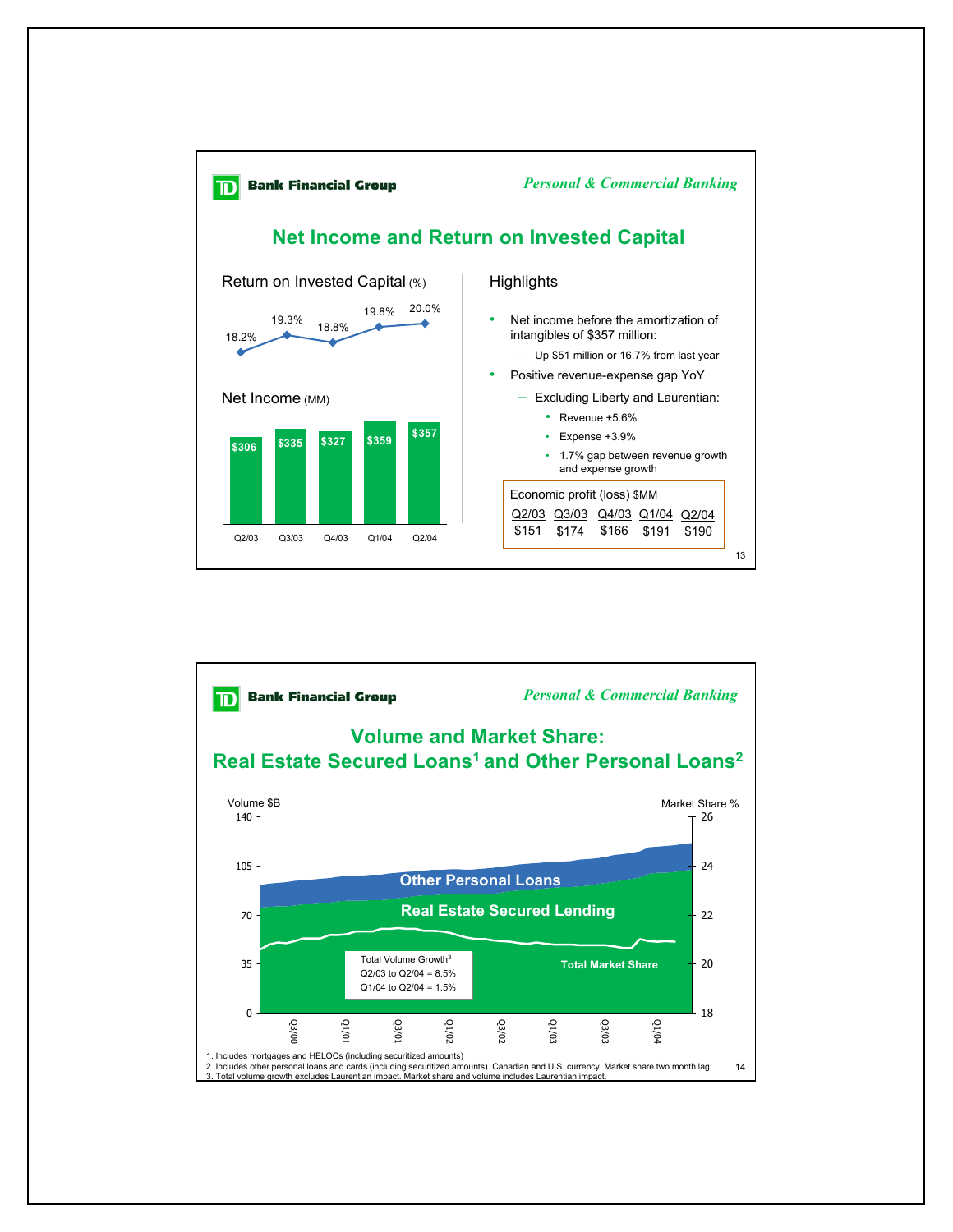

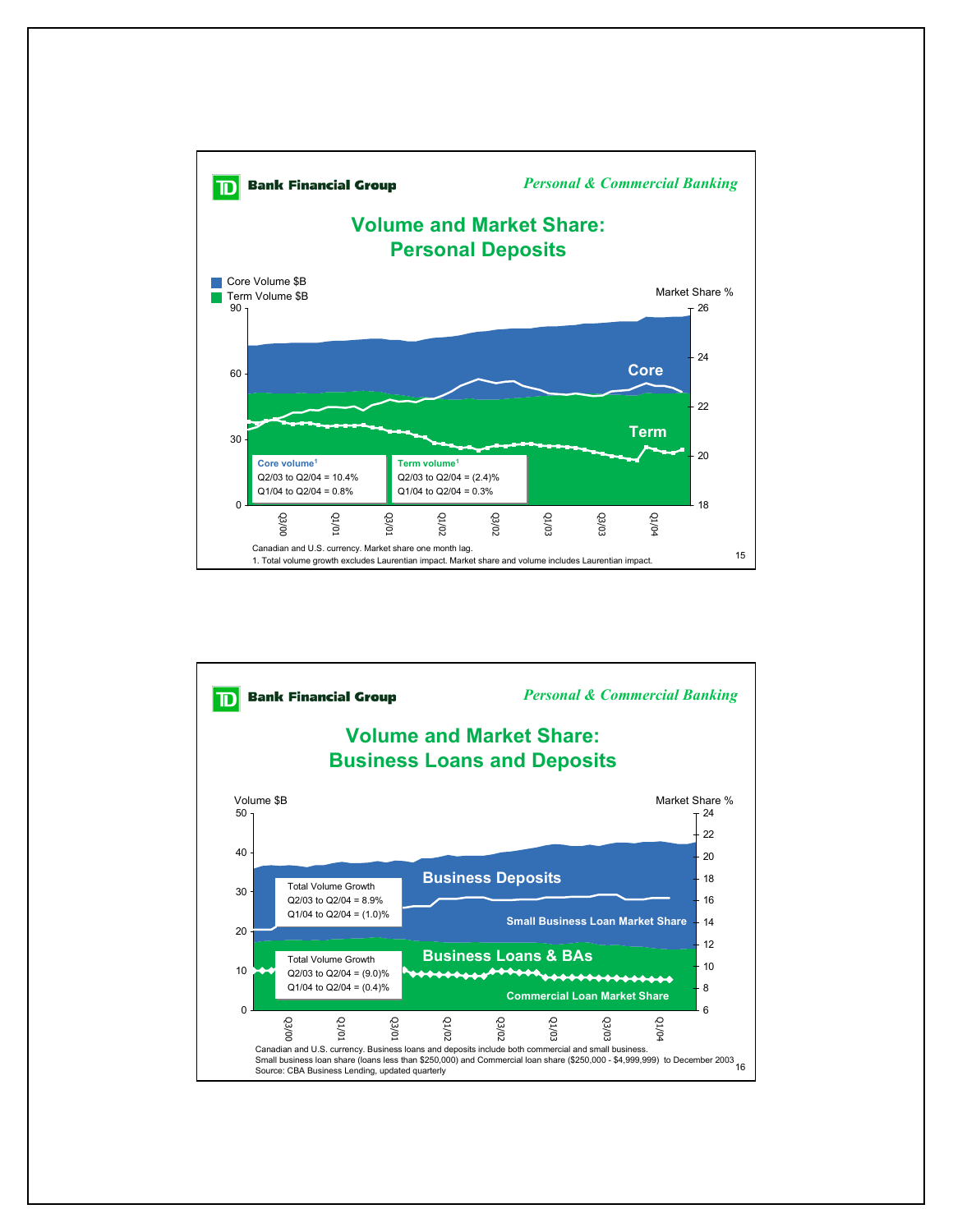

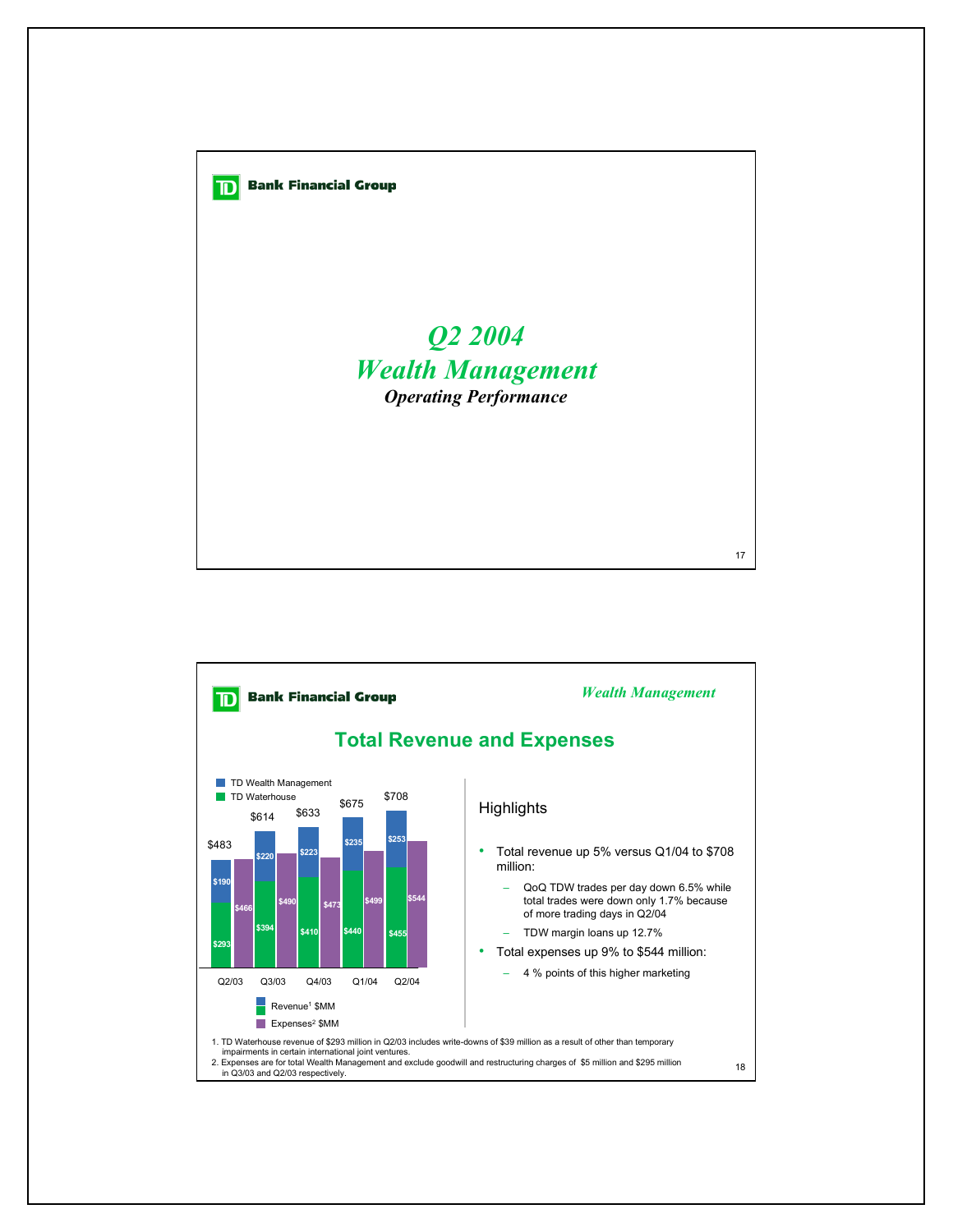

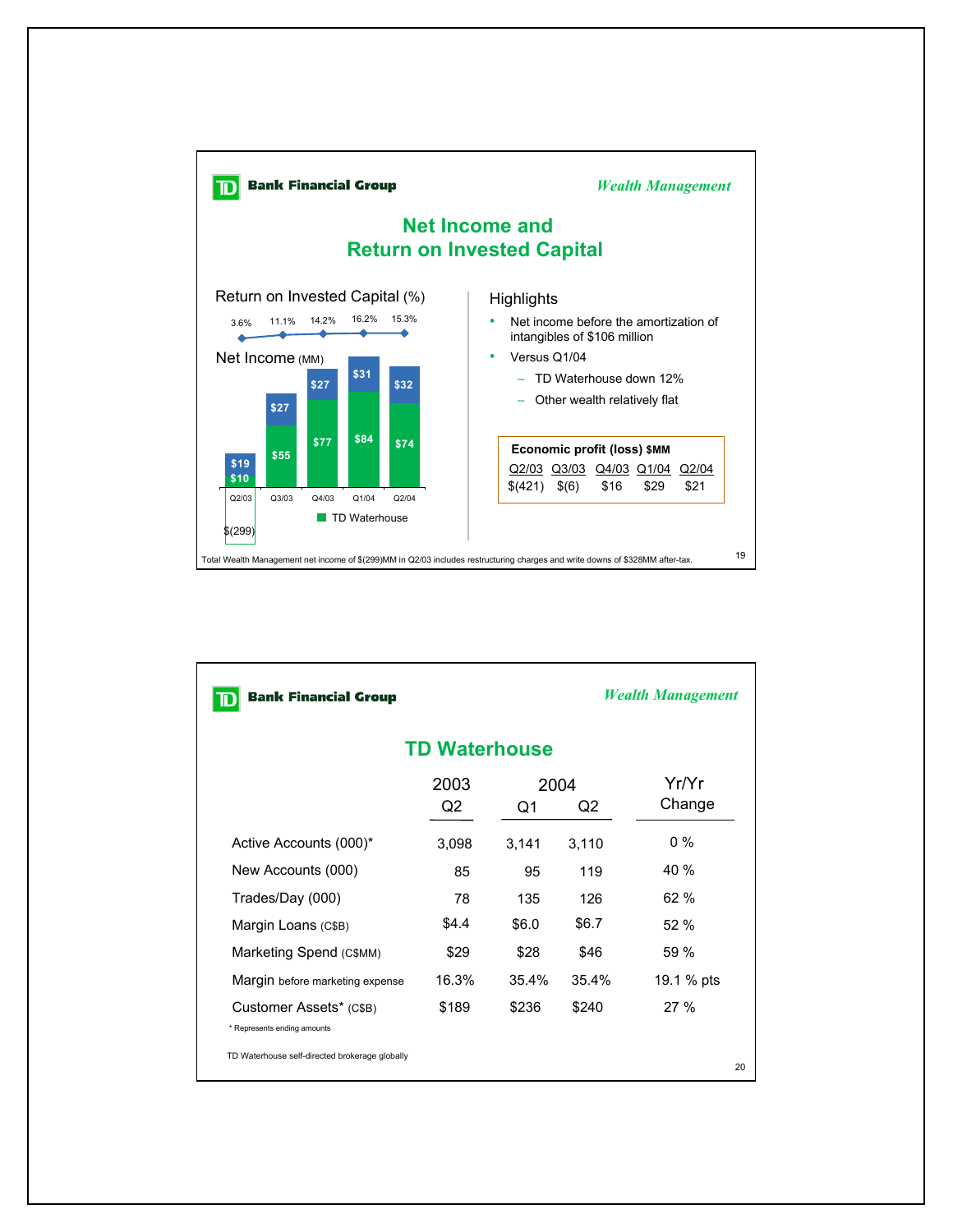

| <b>Bank Financial Group</b>                            |            |            |       | <b>Wealth Management</b> |  |  |  |  |  |
|--------------------------------------------------------|------------|------------|-------|--------------------------|--|--|--|--|--|
| <b>TD Waterhouse</b>                                   |            |            |       |                          |  |  |  |  |  |
|                                                        | 2003<br>Q2 | 2004<br>Q1 | Q2    | Yr/Yr<br>Change          |  |  |  |  |  |
| Active Accounts (000)*                                 | 3,098      | 3,141      | 3,110 | $0\%$                    |  |  |  |  |  |
| New Accounts (000)                                     | 85         | 95         | 119   | 40 %                     |  |  |  |  |  |
| Trades/Day (000)                                       | 78         | 135        | 126   | 62 %                     |  |  |  |  |  |
| Margin Loans (C\$B)                                    | \$4.4      | \$6.0      | \$6.7 | 52%                      |  |  |  |  |  |
| Marketing Spend (C\$MM)                                | \$29       | \$28       | \$46  | 59 %                     |  |  |  |  |  |
| Margin before marketing expense                        | 16.3%      | 35.4%      | 35.4% | 19.1 % pts               |  |  |  |  |  |
| Customer Assets* (C\$B)<br>* Represents ending amounts | \$189      | \$236      | \$240 | 27%                      |  |  |  |  |  |
| TD Waterhouse self-directed brokerage globally         |            |            |       | 20                       |  |  |  |  |  |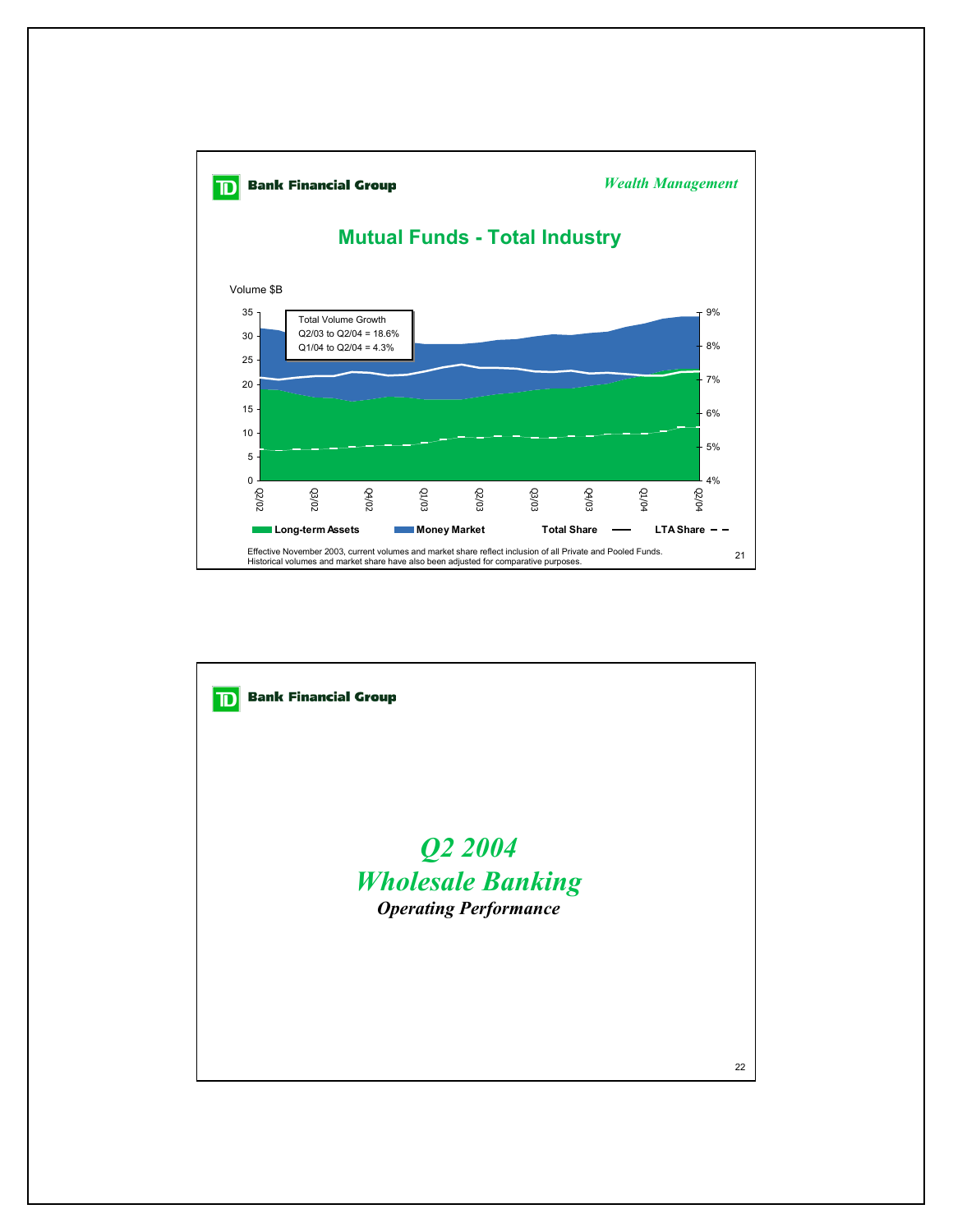

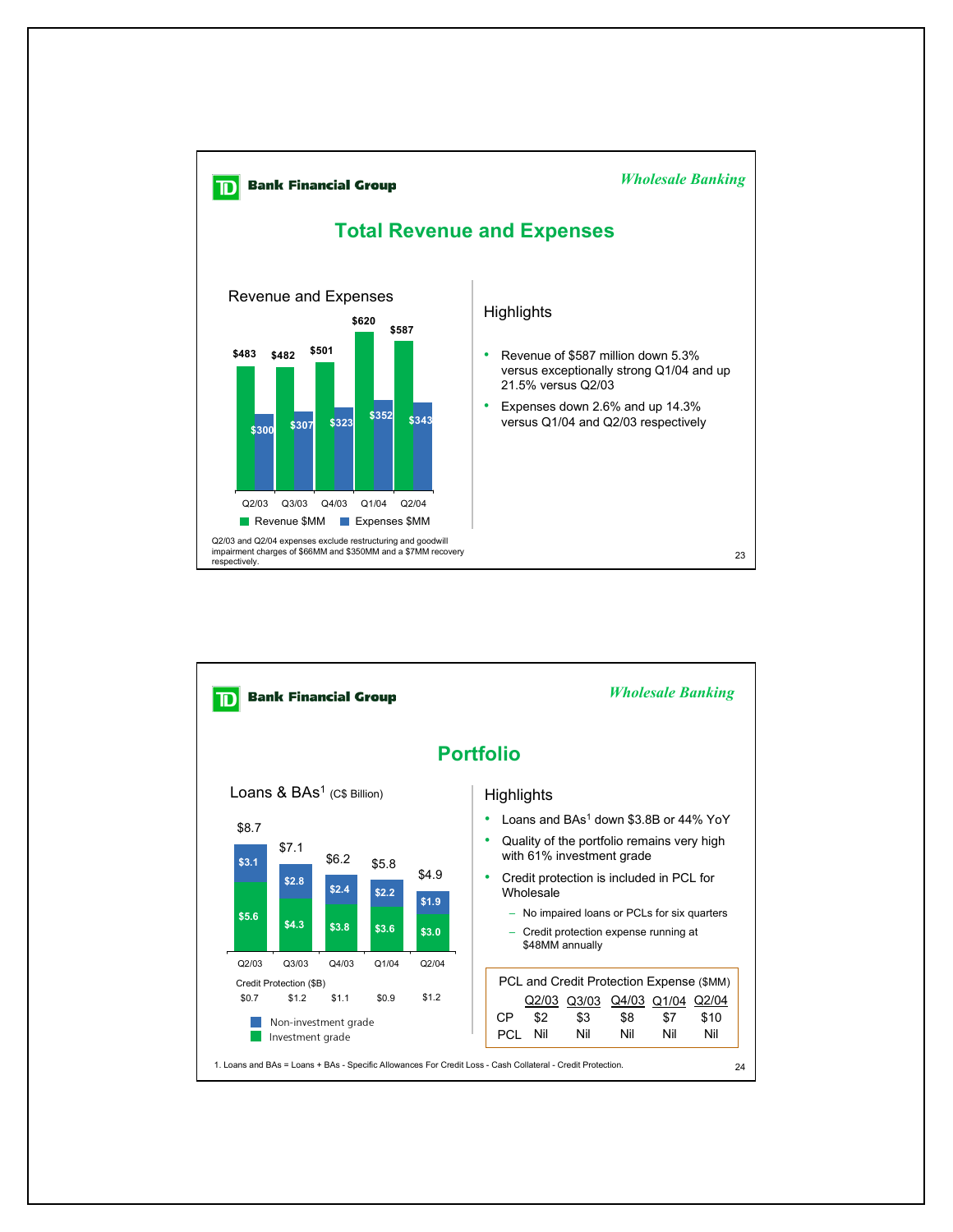

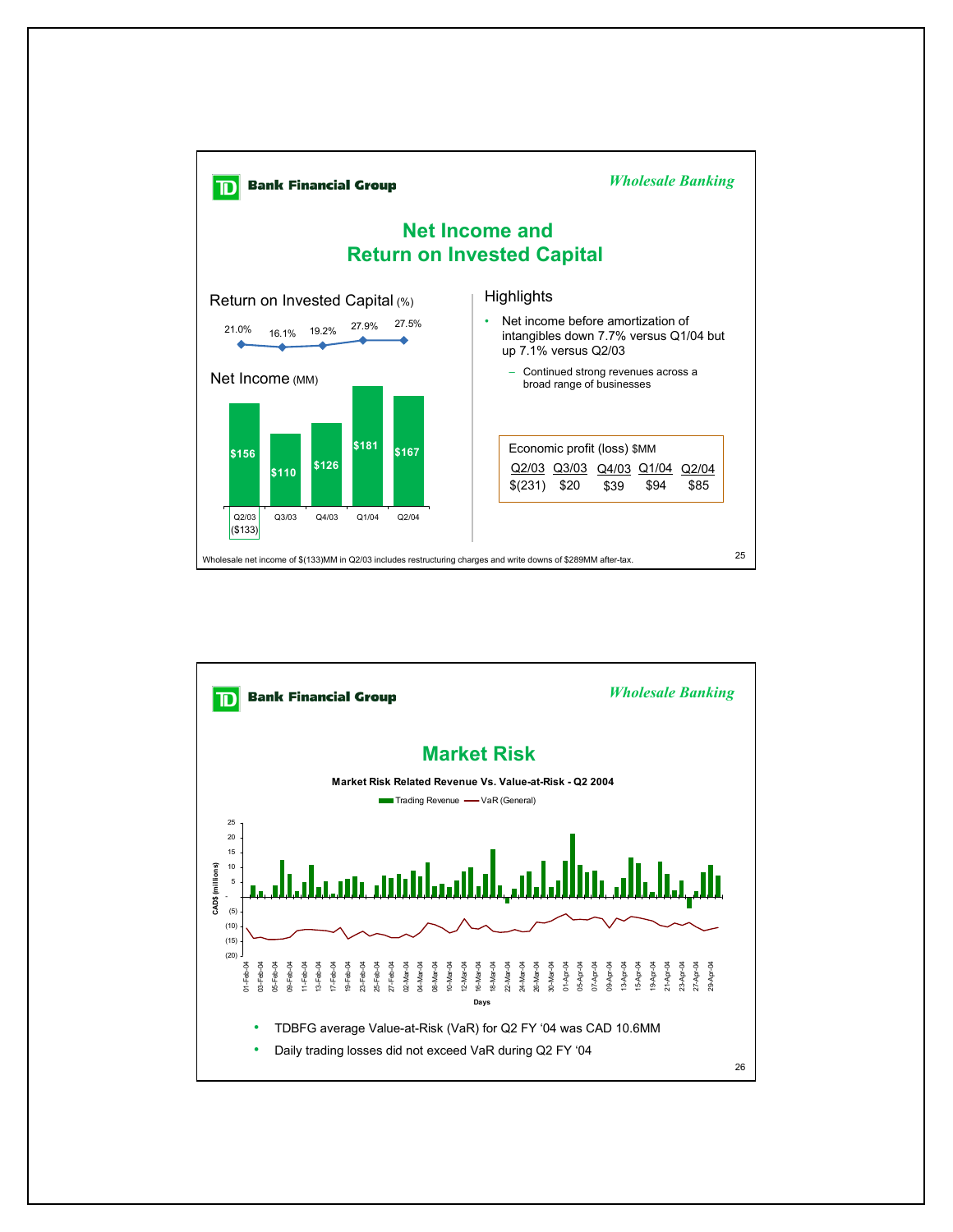

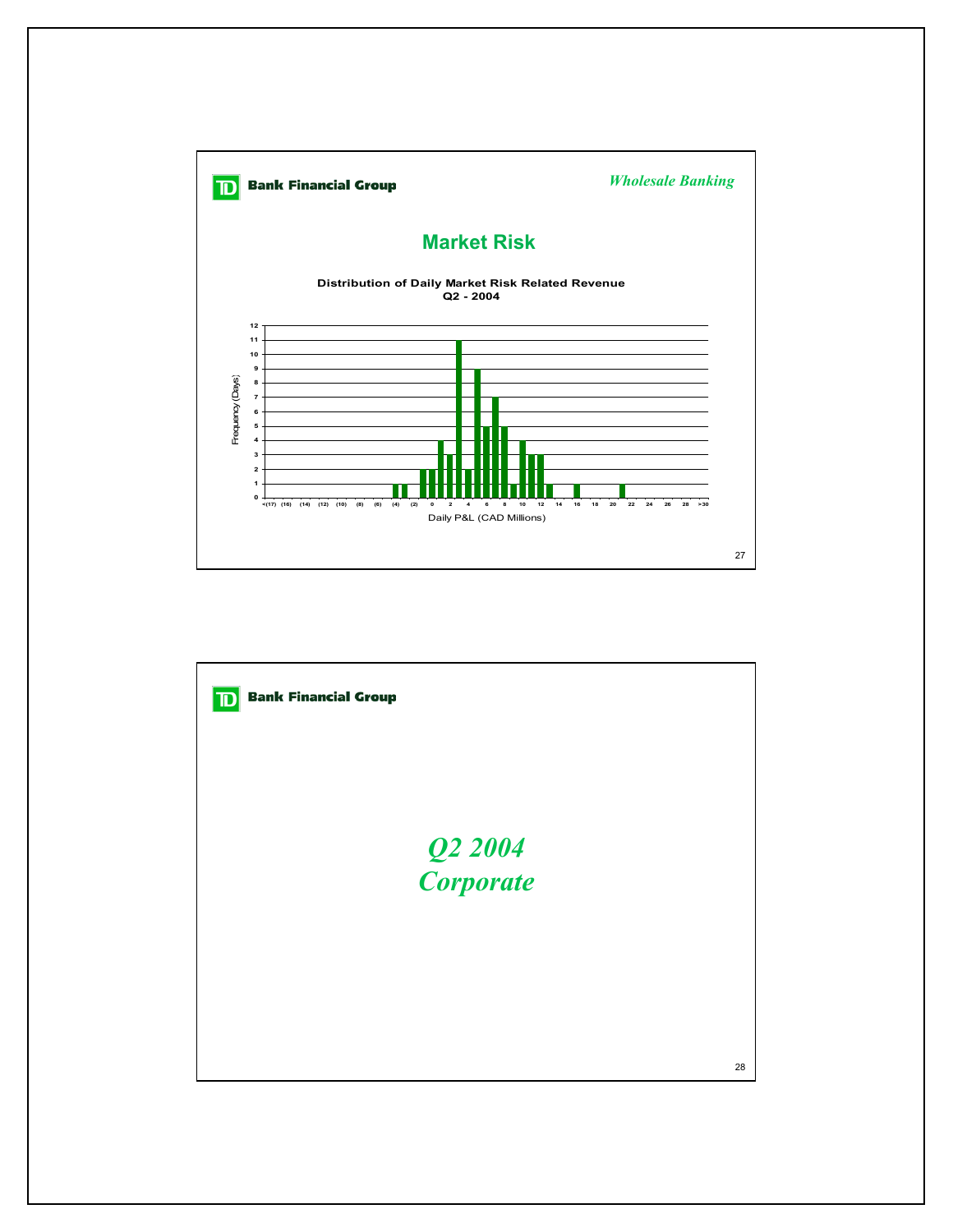

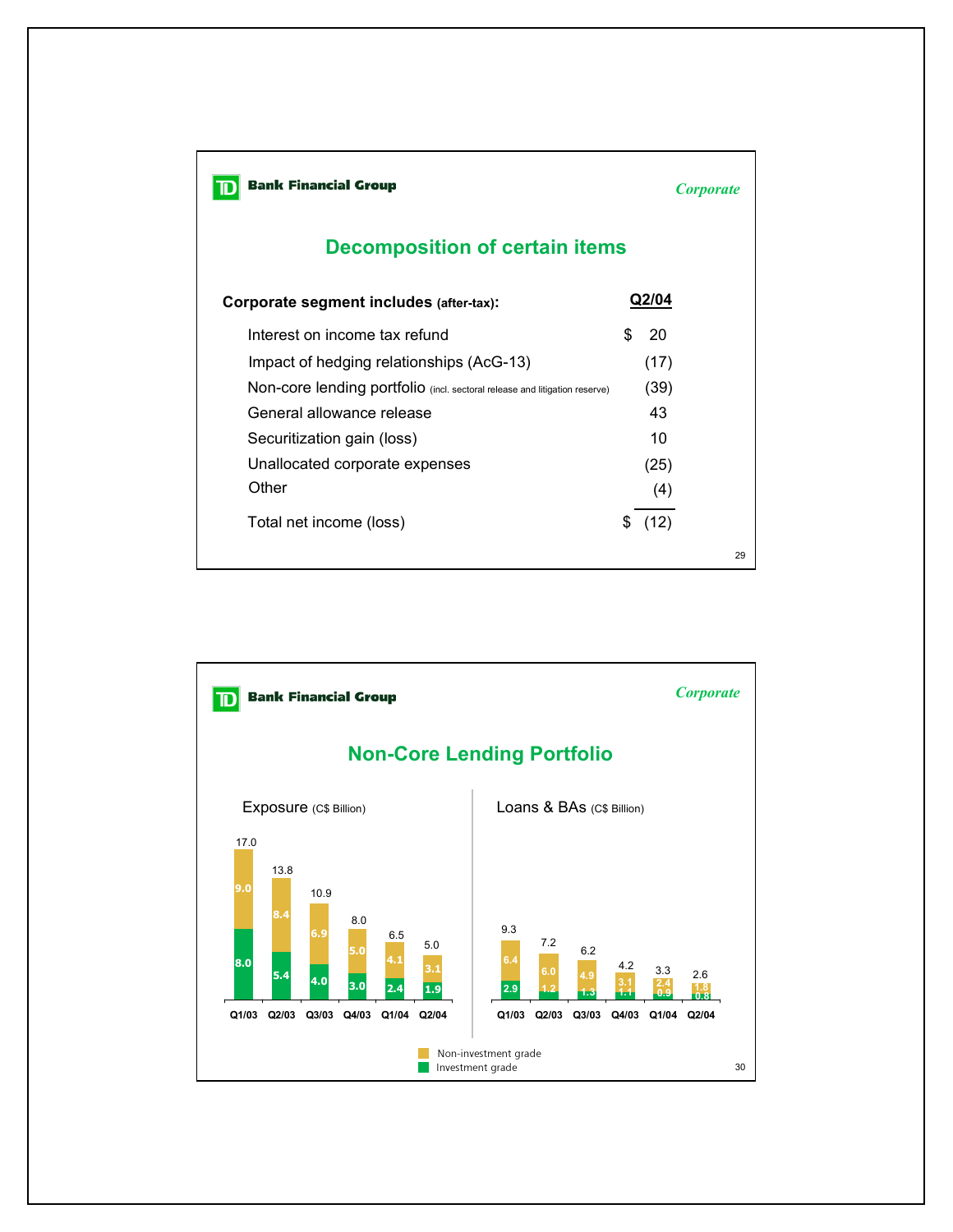| <b>Bank Financial Group</b>                                                | <i><b>Corporate</b></i> |       |    |  |  |  |
|----------------------------------------------------------------------------|-------------------------|-------|----|--|--|--|
| <b>Decomposition of certain items</b>                                      |                         |       |    |  |  |  |
| Corporate segment includes (after-tax):                                    |                         | Q2/04 |    |  |  |  |
| Interest on income tax refund                                              | \$.                     | 20    |    |  |  |  |
| Impact of hedging relationships (AcG-13)                                   |                         | (17)  |    |  |  |  |
| Non-core lending portfolio (incl. sectoral release and litigation reserve) |                         | (39)  |    |  |  |  |
| General allowance release                                                  |                         | 43    |    |  |  |  |
| Securitization gain (loss)                                                 |                         | 10    |    |  |  |  |
| Unallocated corporate expenses                                             |                         | (25)  |    |  |  |  |
| Other                                                                      |                         | (4)   |    |  |  |  |
| Total net income (loss)                                                    | \$                      | (12)  |    |  |  |  |
|                                                                            |                         |       | 29 |  |  |  |